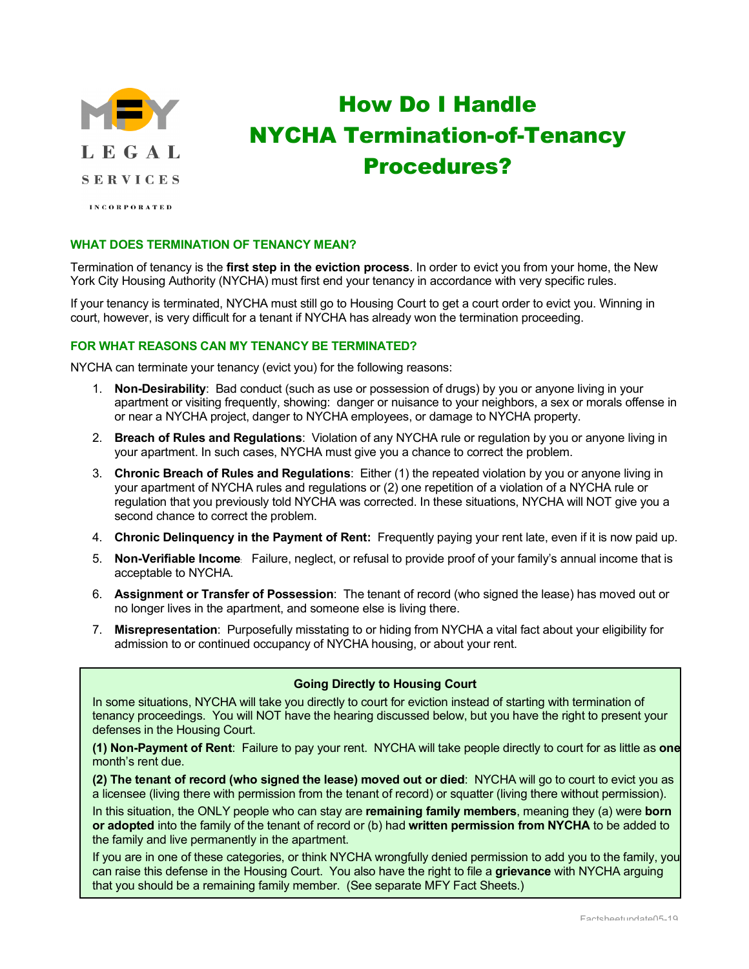

# How Do I Handle NYCHA Termination-of-Tenancy Procedures?

**INCORPORATED** 

# **WHAT DOES TERMINATION OF TENANCY MEAN?**

Termination of tenancy is the **first step in the eviction process**. In order to evict you from your home, the New York City Housing Authority (NYCHA) must first end your tenancy in accordance with very specific rules.

If your tenancy is terminated, NYCHA must still go to Housing Court to get a court order to evict you. Winning in court, however, is very difficult for a tenant if NYCHA has already won the termination proceeding.

# **FOR WHAT REASONS CAN MY TENANCY BE TERMINATED?**

NYCHA can terminate your tenancy (evict you) for the following reasons:

- 1. **Non-Desirability**: Bad conduct (such as use or possession of drugs) by you or anyone living in your apartment or visiting frequently, showing: danger or nuisance to your neighbors, a sex or morals offense in or near a NYCHA project, danger to NYCHA employees, or damage to NYCHA property.
- 2. **Breach of Rules and Regulations**: Violation of any NYCHA rule or regulation by you or anyone living in your apartment. In such cases, NYCHA must give you a chance to correct the problem.
- 3. **Chronic Breach of Rules and Regulations**: Either (1) the repeated violation by you or anyone living in your apartment of NYCHA rules and regulations or (2) one repetition of a violation of a NYCHA rule or regulation that you previously told NYCHA was corrected. In these situations, NYCHA will NOT give you a second chance to correct the problem.
- 4. **Chronic Delinquency in the Payment of Rent:** Frequently paying your rent late, even if it is now paid up.
- 5. **Non-Verifiable Income**: Failure, neglect, or refusal to provide proof of your family's annual income that is acceptable to NYCHA.
- 6. **Assignment or Transfer of Possession**: The tenant of record (who signed the lease) has moved out or no longer lives in the apartment, and someone else is living there.
- 7. **Misrepresentation**: Purposefully misstating to or hiding from NYCHA a vital fact about your eligibility for admission to or continued occupancy of NYCHA housing, or about your rent.

## **Going Directly to Housing Court**

In some situations, NYCHA will take you directly to court for eviction instead of starting with termination of tenancy proceedings. You will NOT have the hearing discussed below, but you have the right to present your defenses in the Housing Court.

**(1) Non-Payment of Rent**: Failure to pay your rent. NYCHA will take people directly to court for as little as **one** month's rent due.

**(2) The tenant of record (who signed the lease) moved out or died**: NYCHA will go to court to evict you as a licensee (living there with permission from the tenant of record) or squatter (living there without permission).

In this situation, the ONLY people who can stay are **remaining family members**, meaning they (a) were **born or adopted** into the family of the tenant of record or (b) had **written permission from NYCHA** to be added to the family and live permanently in the apartment.

If you are in one of these categories, or think NYCHA wrongfully denied permission to add you to the family, you can raise this defense in the Housing Court. You also have the right to file a **grievance** with NYCHA arguing that you should be a remaining family member. (See separate MFY Fact Sheets.)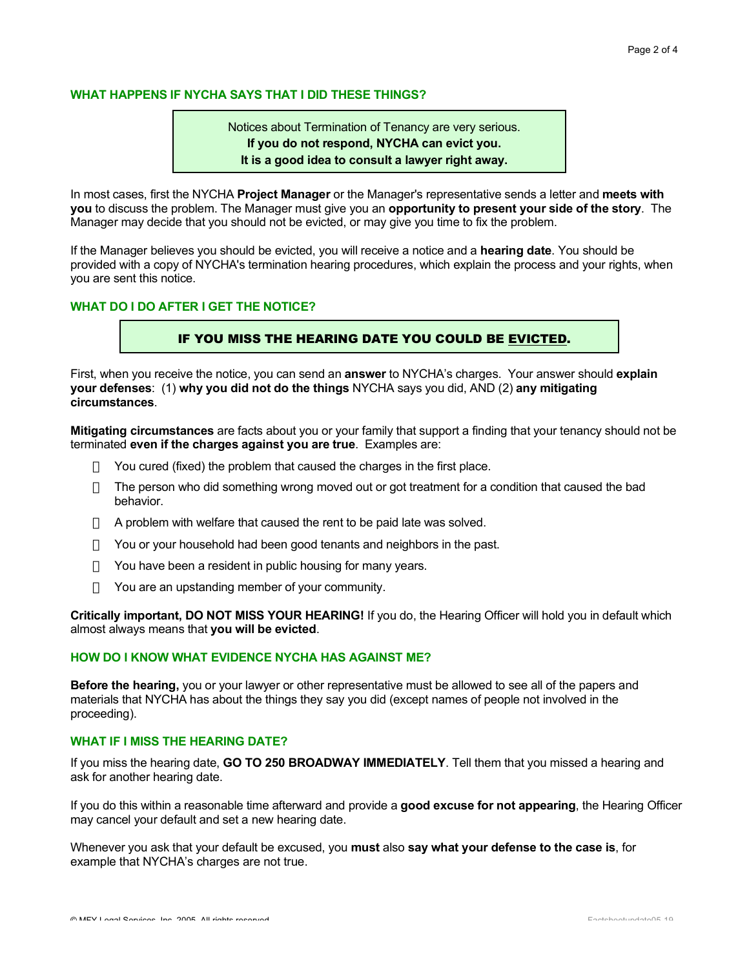## **WHAT HAPPENS IF NYCHA SAYS THAT I DID THESE THINGS?**

Notices about Termination of Tenancy are very serious. **If you do not respond, NYCHA can evict you. It is a good idea to consult a lawyer right away.**

In most cases, first the NYCHA **Project Manager** or the Manager's representative sends a letter and **meets with you** to discuss the problem. The Manager must give you an **opportunity to present your side of the story**. The Manager may decide that you should not be evicted, or may give you time to fix the problem.

If the Manager believes you should be evicted, you will receive a notice and a **hearing date**. You should be provided with a copy of NYCHA's termination hearing procedures, which explain the process and your rights, when you are sent this notice.

## **WHAT DO I DO AFTER I GET THE NOTICE?**

# IF YOU MISS THE HEARING DATE YOU COULD BE EVICTED.

First, when you receive the notice, you can send an **answer** to NYCHA's charges. Your answer should **explain your defenses**: (1) **why you did not do the things** NYCHA says you did, AND (2) **any mitigating circumstances**.

**Mitigating circumstances** are facts about you or your family that support a finding that your tenancy should not be terminated **even if the charges against you are true**. Examples are:

- You cured (fixed) the problem that caused the charges in the first place.
- The person who did something wrong moved out or got treatment for a condition that caused the bad behavior.
- A problem with welfare that caused the rent to be paid late was solved.
- You or your household had been good tenants and neighbors in the past.
- ) You have been a resident in public housing for many years.
- You are an upstanding member of your community.

**Critically important, DO NOT MISS YOUR HEARING!** If you do, the Hearing Officer will hold you in default which almost always means that **you will be evicted**.

#### **HOW DO I KNOW WHAT EVIDENCE NYCHA HAS AGAINST ME?**

**Before the hearing,** you or your lawyer or other representative must be allowed to see all of the papers and materials that NYCHA has about the things they say you did (except names of people not involved in the proceeding).

#### **WHAT IF I MISS THE HEARING DATE?**

If you miss the hearing date, **GO TO 250 BROADWAY IMMEDIATELY**. Tell them that you missed a hearing and ask for another hearing date.

If you do this within a reasonable time afterward and provide a **good excuse for not appearing**, the Hearing Officer may cancel your default and set a new hearing date.

Whenever you ask that your default be excused, you **must** also **say what your defense to the case is**, for example that NYCHA's charges are not true.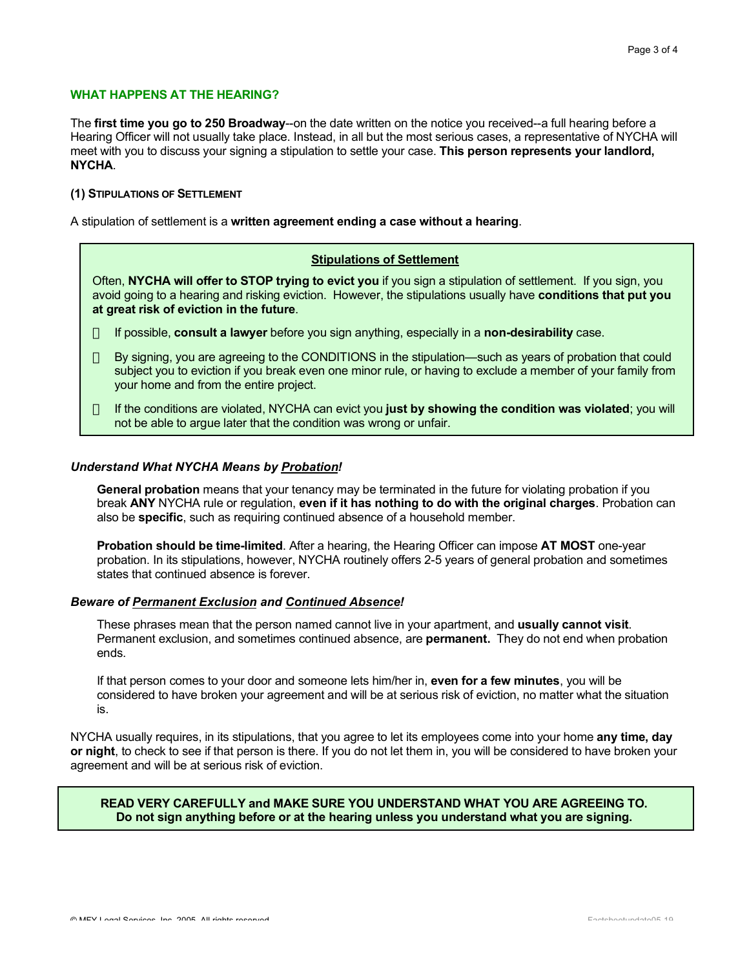# **WHAT HAPPENS AT THE HEARING?**

The **first time you go to 250 Broadway**--on the date written on the notice you received--a full hearing before a Hearing Officer will not usually take place. Instead, in all but the most serious cases, a representative of NYCHA will meet with you to discuss your signing a stipulation to settle your case. **This person represents your landlord, NYCHA**.

#### **(1) STIPULATIONS OF SETTLEMENT**

A stipulation of settlement is a **written agreement ending a case without a hearing**.

# **Stipulations of Settlement**

Often, **NYCHA will offer to STOP trying to evict you** if you sign a stipulation of settlement. If you sign, you avoid going to a hearing and risking eviction. However, the stipulations usually have **conditions that put you at great risk of eviction in the future**.

- ÿ If possible, **consult a lawyer** before you sign anything, especially in a **non-desirability** case.
- ÿ By signing, you are agreeing to the CONDITIONS in the stipulation—such as years of probation that could subject you to eviction if you break even one minor rule, or having to exclude a member of your family from your home and from the entire project.
- ÿ If the conditions are violated, NYCHA can evict you **just by showing the condition was violated**; you will not be able to argue later that the condition was wrong or unfair.

#### *Understand What NYCHA Means by Probation!*

**General probation** means that your tenancy may be terminated in the future for violating probation if you break **ANY** NYCHA rule or regulation, **even if it has nothing to do with the original charges**. Probation can also be **specific**, such as requiring continued absence of a household member.

**Probation should be time-limited**. After a hearing, the Hearing Officer can impose **AT MOST** one-year probation. In its stipulations, however, NYCHA routinely offers 2-5 years of general probation and sometimes states that continued absence is forever.

#### *Beware of Permanent Exclusion and Continued Absence!*

These phrases mean that the person named cannot live in your apartment, and **usually cannot visit**. Permanent exclusion, and sometimes continued absence, are **permanent.** They do not end when probation ends.

If that person comes to your door and someone lets him/her in, **even for a few minutes**, you will be considered to have broken your agreement and will be at serious risk of eviction, no matter what the situation is.

NYCHA usually requires, in its stipulations, that you agree to let its employees come into your home **any time, day or night**, to check to see if that person is there. If you do not let them in, you will be considered to have broken your agreement and will be at serious risk of eviction.

## **READ VERY CAREFULLY and MAKE SURE YOU UNDERSTAND WHAT YOU ARE AGREEING TO. Do not sign anything before or at the hearing unless you understand what you are signing.**